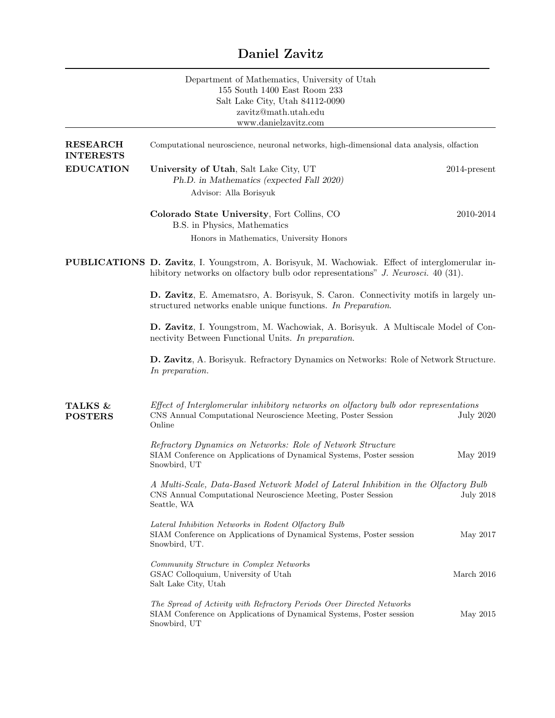## Daniel Zavitz

|                                      | Department of Mathematics, University of Utah<br>155 South 1400 East Room 233<br>Salt Lake City, Utah 84112-0090<br>zavitz@math.utah.edu<br>www.danielzavitz.com                          |                  |  |
|--------------------------------------|-------------------------------------------------------------------------------------------------------------------------------------------------------------------------------------------|------------------|--|
| <b>RESEARCH</b><br><b>INTERESTS</b>  | Computational neuroscience, neuronal networks, high-dimensional data analysis, olfaction                                                                                                  |                  |  |
| <b>EDUCATION</b>                     | University of Utah, Salt Lake City, UT<br>Ph.D. in Mathematics (expected Fall 2020)<br>Advisor: Alla Borisyuk                                                                             | $2014$ -present  |  |
|                                      | Colorado State University, Fort Collins, CO<br>B.S. in Physics, Mathematics                                                                                                               | 2010-2014        |  |
|                                      | Honors in Mathematics, University Honors                                                                                                                                                  |                  |  |
|                                      | <b>PUBLICATIONS D. Zavitz, I.</b> Youngstrom, A. Borisyuk, M. Wachowiak. Effect of interglomerular in-<br>hibitory networks on olfactory bulb odor representations" J. Neurosci. 40 (31). |                  |  |
|                                      | D. Zavitz, E. Amematsro, A. Borisyuk, S. Caron. Connectivity motifs in largely un-<br>structured networks enable unique functions. In Preparation.                                        |                  |  |
|                                      | D. Zavitz, I. Youngstrom, M. Wachowiak, A. Borisyuk. A Multiscale Model of Con-<br>nectivity Between Functional Units. In preparation.                                                    |                  |  |
|                                      | D. Zavitz, A. Borisyuk. Refractory Dynamics on Networks: Role of Network Structure.<br>In preparation.                                                                                    |                  |  |
| <b>TALKS &amp;</b><br><b>POSTERS</b> | Effect of Interglomerular inhibitory networks on olfactory bulb odor representations<br>CNS Annual Computational Neuroscience Meeting, Poster Session<br>Online                           | <b>July 2020</b> |  |
|                                      | Refractory Dynamics on Networks: Role of Network Structure<br>SIAM Conference on Applications of Dynamical Systems, Poster session<br>Snowbird, UT                                        | May 2019         |  |
|                                      | A Multi-Scale, Data-Based Network Model of Lateral Inhibition in the Olfactory Bulb<br>CNS Annual Computational Neuroscience Meeting, Poster Session<br>Seattle, WA                       | <b>July 2018</b> |  |
|                                      | Lateral Inhibition Networks in Rodent Olfactory Bulb<br>SIAM Conference on Applications of Dynamical Systems, Poster session<br>Snowbird, UT.                                             | May 2017         |  |
|                                      | Community Structure in Complex Networks<br>GSAC Colloquium, University of Utah<br>Salt Lake City, Utah                                                                                    | March 2016       |  |
|                                      | The Spread of Activity with Refractory Periods Over Directed Networks<br>SIAM Conference on Applications of Dynamical Systems, Poster session<br>Snowbird, UT                             | May 2015         |  |